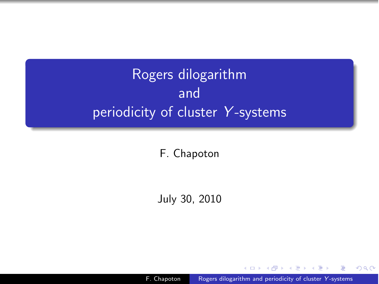# Rogers dilogarithm and periodicity of cluster *Y* -systems

F. Chapoton

July 30, 2010

F. Chapoton **Rogers dilogarithm and periodicity of cluster** *Y***-systems** 

 $\rightarrow$   $\pm$ 

<span id="page-0-0"></span>つくへ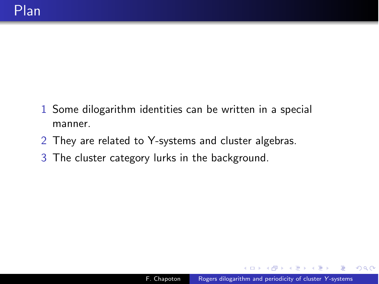- 1 Some dilogarithm identities can be written in a special manner.
- 2 They are related to Y-systems and cluster algebras.
- 3 The cluster category lurks in the background.

→ 手下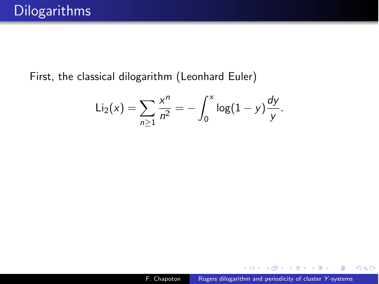First, the classical dilogarithm (Leonhard Euler)

$$
Li_2(x) = \sum_{n\geq 1} \frac{x^n}{n^2} = -\int_0^x \log(1-y) \frac{dy}{y}.
$$

∢ 重 ≯

 $\sim$ 

性

 $299$ 

∍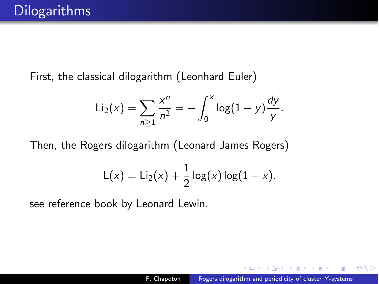First, the classical dilogarithm (Leonhard Euler)

$$
Li_2(x) = \sum_{n\geq 1} \frac{x^n}{n^2} = -\int_0^x \log(1-y) \frac{dy}{y}.
$$

Then, the Rogers dilogarithm (Leonard James Rogers)

$$
L(x) = Li_2(x) + \frac{1}{2} \log(x) \log(1 - x).
$$

see reference book by Leonard Lewin.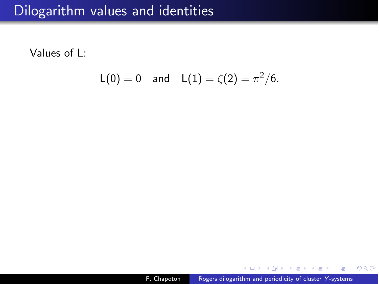Values of L:

$$
L(0) = 0
$$
 and  $L(1) = \zeta(2) = \pi^2/6$ .

→ 君 > → 君 >

 $\sim$ 

 $299$ 

э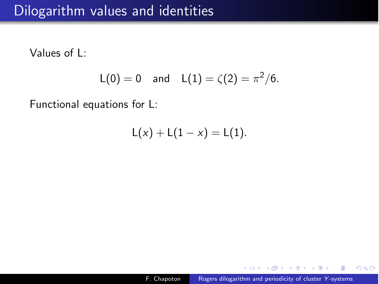Values of L:

$$
L(0) = 0
$$
 and  $L(1) = \zeta(2) = \pi^2/6$ .

Functional equations for L:

$$
L(x) + L(1-x) = L(1).
$$

化重变 化重

 $299$ 

Ξ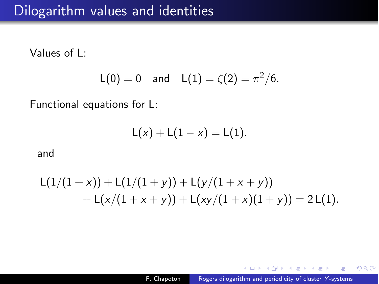Values of L:

$$
L(0) = 0
$$
 and  $L(1) = \zeta(2) = \pi^2/6$ .

Functional equations for L:

$$
L(x) + L(1-x) = L(1).
$$

and

$$
L(1/(1+x)) + L(1/(1+y)) + L(y/(1+x+y))
$$
  
+ L(x/(1+x+y)) + L(xy/(1+x)(1+y)) = 2L(1).

 $\left\{ \begin{array}{ccc} \pm & \pm & \pm \end{array} \right.$ 

 $299$ 

Ξ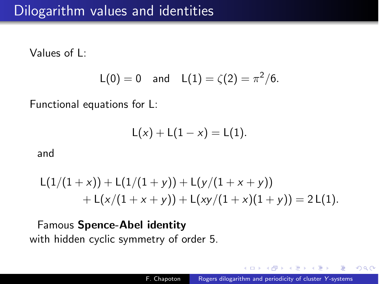Values of L:

$$
L(0) = 0
$$
 and  $L(1) = \zeta(2) = \pi^2/6$ .

Functional equations for L:

$$
L(x) + L(1-x) = L(1).
$$

and

$$
L(1/(1+x)) + L(1/(1+y)) + L(y/(1+x+y))
$$
  
+ L(x/(1+x+y)) + L(xy/(1+x)(1+y)) = 2L(1).

Famous Spence-Abel identity with hidden cyclic symmetry of order 5.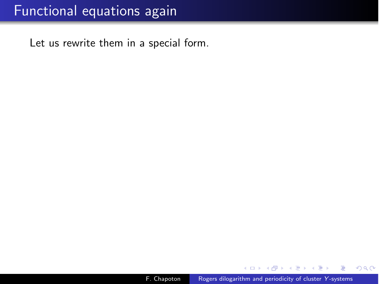Let us rewrite them in a special form.

モミチ

性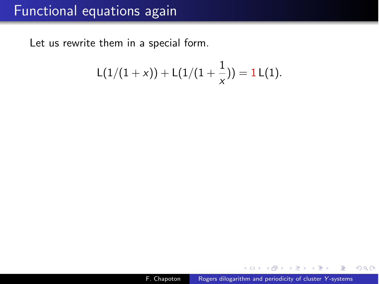Let us rewrite them in a special form.

$$
L(1/(1+x)) + L(1/(1+\frac{1}{x})) = 1 L(1).
$$

モミチ

性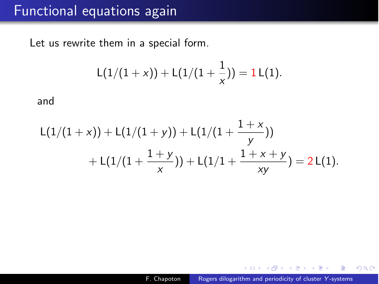Let us rewrite them in a special form.

$$
L(1/(1+x)) + L(1/(1+\frac{1}{x})) = 1 L(1).
$$

and

$$
L(1/(1+x)) + L(1/(1+y)) + L(1/(1+\frac{1+x}{y}))
$$
  
+ L(1/(1+\frac{1+y}{x})) + L(1/1+\frac{1+x+y}{xy}) = 2L(1).

モミチ

 $\equiv$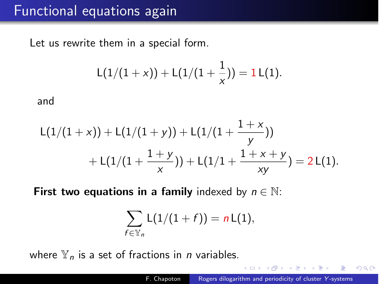Let us rewrite them in a special form.

$$
L(1/(1+x)) + L(1/(1+\frac{1}{x})) = 1 L(1).
$$

and

$$
L(1/(1+x)) + L(1/(1+y)) + L(1/(1+\frac{1+x}{y}))
$$
  
+ L(1/(1+\frac{1+y}{x})) + L(1/1+\frac{1+x+y}{xy}) = 2L(1).

**First two equations in a family** indexed by  $n \in \mathbb{N}$ :

$$
\sum_{f\in\mathbb{Y}_n} L(1/(1+f))=n L(1),
$$

where Y*<sup>n</sup>* is a set of fractions in *n* variables.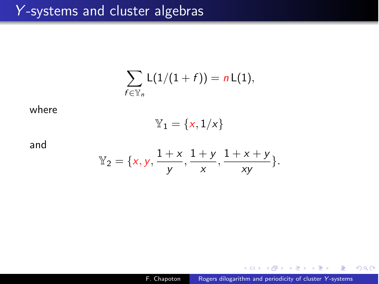#### *Y* -systems and cluster algebras

$$
\sum_{f\in\mathbb{Y}_n} L(1/(1+f))=n L(1),
$$

where

$$
\mathbb{Y}_1=\{\mathsf{x},\mathsf{1}/\mathsf{x}\}
$$

and

$$
\mathbb{Y}_2 = \{x, y, \frac{1+x}{y}, \frac{1+y}{x}, \frac{1+x+y}{xy}\}.
$$

4 重  $\sim$ 重 **B** э

 $\sim$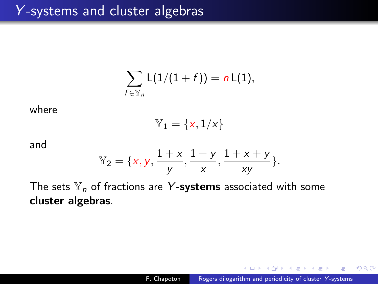$$
\sum_{f\in\mathbb{Y}_n} L(1/(1+f))=n L(1),
$$

where

$$
\mathbb{Y}_1=\{x,1/x\}
$$

and

$$
\mathbb{Y}_2 = \{x, y, \frac{1+x}{y}, \frac{1+y}{x}, \frac{1+x+y}{xy}\}.
$$

The sets  $\mathbb{Y}_n$  of fractions are Y-systems associated with some cluster algebras.

 $\lambda$  =  $\lambda$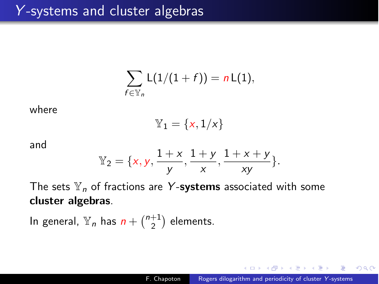$$
\sum_{f\in\mathbb{Y}_n} L(1/(1+f))=n L(1),
$$

where

$$
\mathbb{Y}_1=\{x,1/x\}
$$

and

$$
\mathbb{Y}_2 = \{x, y, \frac{1+x}{y}, \frac{1+y}{x}, \frac{1+x+y}{xy}\}.
$$

The sets Y*<sup>n</sup>* of fractions are *Y* -systems associated with some cluster algebras.

In general,  $\mathbb{Y}_n$  has  $n + \binom{n+1}{2}$  elements.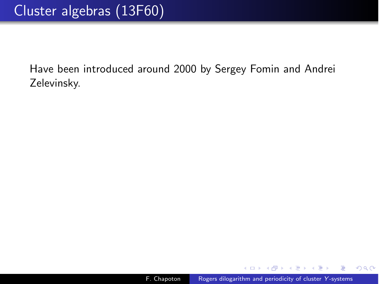$\rightarrow$   $\equiv$   $\rightarrow$   $\rightarrow$   $\equiv$ 

**Section** 

 $2990$ 

э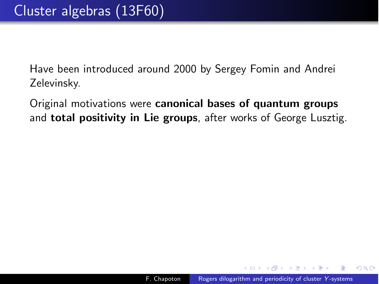Original motivations were canonical bases of quantum groups and **total positivity in Lie groups**, after works of George Lusztig.

 $\mathbf{A}$  . The first set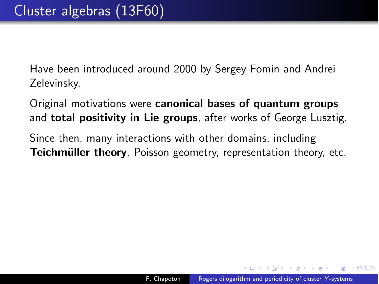Original motivations were canonical bases of quantum groups and **total positivity in Lie groups**, after works of George Lusztig.

Since then, many interactions with other domains, including Teichmüller theory, Poisson geometry, representation theory, etc.

母 ▶ ヨ ヨ ▶ ヨ ヨ ▶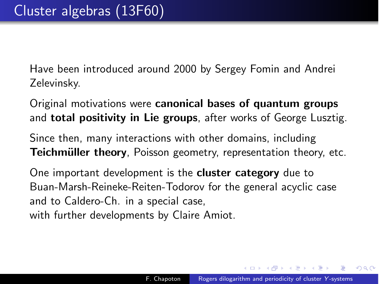Original motivations were canonical bases of quantum groups and **total positivity in Lie groups**, after works of George Lusztig.

Since then, many interactions with other domains, including Teichmüller theory, Poisson geometry, representation theory, etc.

One important development is the **cluster category** due to Buan-Marsh-Reineke-Reiten-Todorov for the general acyclic case and to Caldero-Ch. in a special case, with further developments by Claire Amiot.

(何) (ヨ) (ヨ)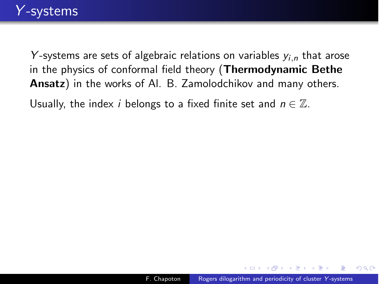Usually, the index *i* belongs to a fixed finite set and  $n \in \mathbb{Z}$ .

母 トマミト マミト

 $\Omega$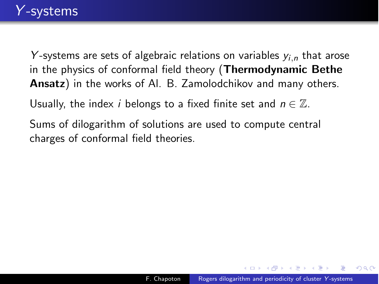Usually, the index *i* belongs to a fixed finite set and  $n \in \mathbb{Z}$ .

Sums of dilogarithm of solutions are used to compute central charges of conformal field theories.

母 トマミト マミト

 $\Omega$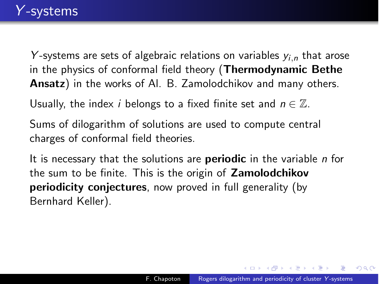Usually, the index *i* belongs to a fixed finite set and  $n \in \mathbb{Z}$ .

Sums of dilogarithm of solutions are used to compute central charges of conformal field theories.

It is necessary that the solutions are periodic in the variable *n* for the sum to be finite. This is the origin of Zamolodchikov **periodicity conjectures**, now proved in full generality (by Bernhard Keller).

(印) イヨン イヨン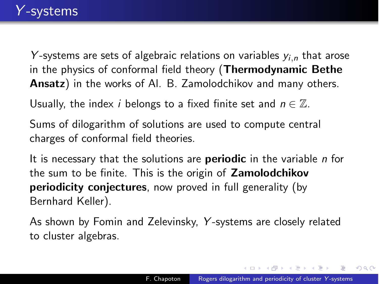Usually, the index *i* belongs to a fixed finite set and  $n \in \mathbb{Z}$ .

Sums of dilogarithm of solutions are used to compute central charges of conformal field theories.

It is necessary that the solutions are periodic in the variable *n* for the sum to be finite. This is the origin of Zamolodchikov periodicity conjectures, now proved in full generality (by Bernhard Keller).

As shown by Fomin and Zelevinsky, *Y* -systems are closely related to cluster algebras.

メ 何 メ メ ヨ メ ス ヨ メー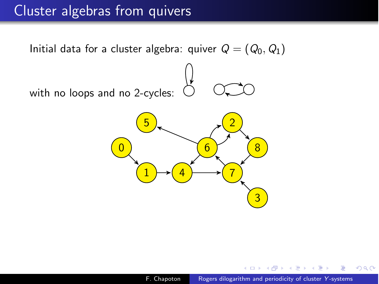### Cluster algebras from quivers

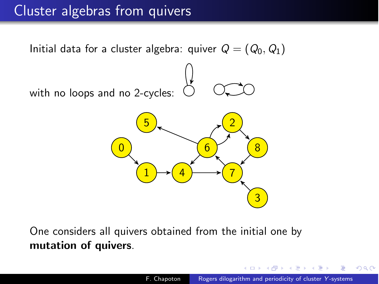# Cluster algebras from quivers



One considers all quivers obtained from the initial one by mutation of quivers.

つくい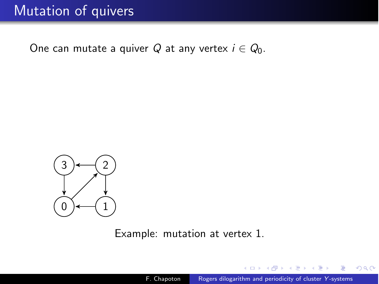One can mutate a quiver *Q* at any vertex  $i \in Q_0$ .



Example: mutation at vertex 1.

任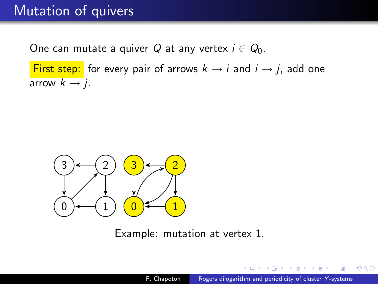One can mutate a quiver  $Q$  at any vertex  $i \in Q_0$ .

First step: for every pair of arrows  $k \rightarrow i$  and  $i \rightarrow j$ , add one arrow  $k \rightarrow j$ .



Example: mutation at vertex 1.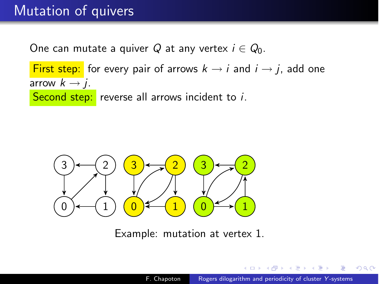One can mutate a quiver Q at any vertex  $i \in Q_0$ .

First step: for every pair of arrows  $k \rightarrow i$  and  $i \rightarrow j$ , add one arrow  $k \rightarrow j$ . Second step: reverse all arrows incident to *i*.



Example: mutation at vertex 1.

つくへ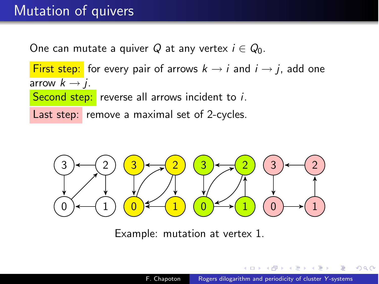One can mutate a quiver Q at any vertex  $i \in Q_0$ .

First step: for every pair of arrows  $k \rightarrow i$  and  $i \rightarrow j$ , add one arrow  $k \rightarrow j$ . Second step: reverse all arrows incident to *i*. Last step: remove a maximal set of 2-cycles.



Example: mutation at vertex 1.

つくい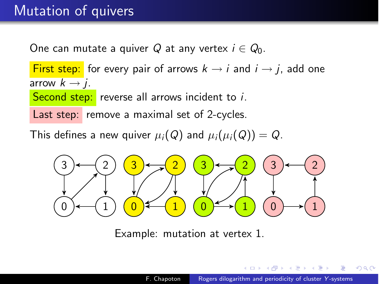One can mutate a quiver Q at any vertex  $i \in Q_0$ .

First step: for every pair of arrows  $k \rightarrow i$  and  $i \rightarrow j$ , add one arrow  $k \rightarrow j$ . Second step: reverse all arrows incident to *i*.

Last step: remove a maximal set of 2-cycles.

This defines a new quiver  $\mu_i(Q)$  and  $\mu_i(\mu_i(Q)) = Q$ .



Example: mutation at vertex 1.

つくい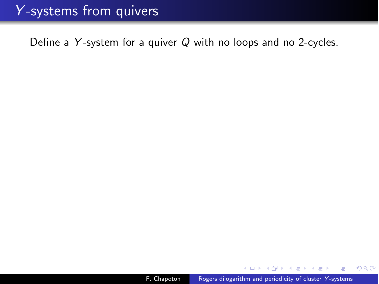Define a *Y* -system for a quiver *Q* with no loops and no 2-cycles.

モミメ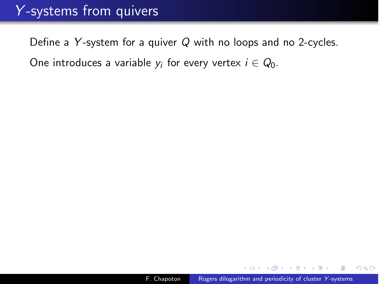Define a *Y* -system for a quiver *Q* with no loops and no 2-cycles. One introduces a variable  $y_i$  for every vertex  $i \in Q_0$ .

より苦し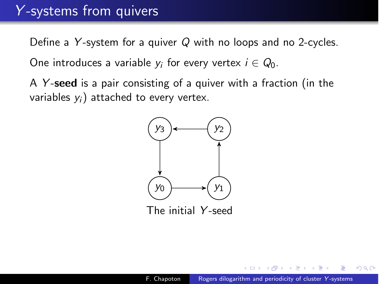Define a *Y* -system for a quiver *Q* with no loops and no 2-cycles. One introduces a variable  $y_i$  for every vertex  $i \in Q_0$ .

A *Y* -seed is a pair consisting of a quiver with a fraction (in the variables *yi*) attached to every vertex.



The initial *Y* -seed

つくへ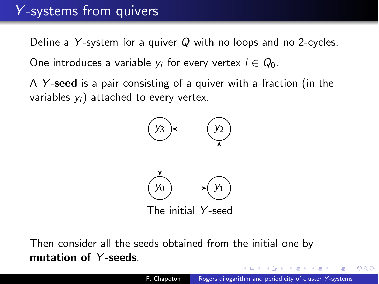Define a *Y* -system for a quiver *Q* with no loops and no 2-cycles. One introduces a variable  $y_i$  for every vertex  $i \in Q_0$ .

A *Y* -seed is a pair consisting of a quiver with a fraction (in the variables *yi*) attached to every vertex.



The initial *Y* -seed

Then consider all the seeds obtained from the initial one by mutation of *Y* -seeds.

つくい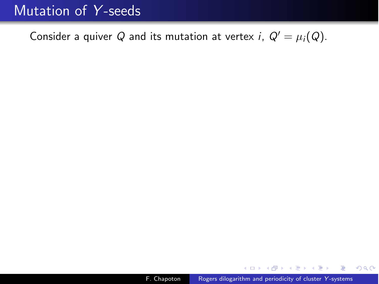### Mutation of *Y* -seeds

Consider a quiver *Q* and its mutation at vertex *i*,  $Q' = \mu_i(Q)$ .

 $\mathcal{A} \xrightarrow{\sim} \mathcal{B} \rightarrow \mathcal{A} \xrightarrow{\sim} \mathcal{B} \rightarrow$ 

 $\sim$ 

 $299$ 

重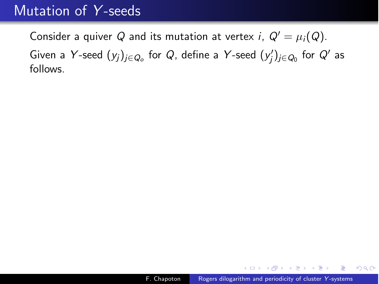#### Mutation of *Y* -seeds

Consider a quiver *Q* and its mutation at vertex *i*,  $Q' = \mu_i(Q)$ . Given a *Y* -seed (*yj*)*j*∈*Qo* for *Q*, define a *Y* -seed (*y*# *<sup>j</sup>*)*j*∈*Q*<sup>0</sup> for *Q*# as follows.

 $QQ$ 

重

- 4 重 8 - 4 重 8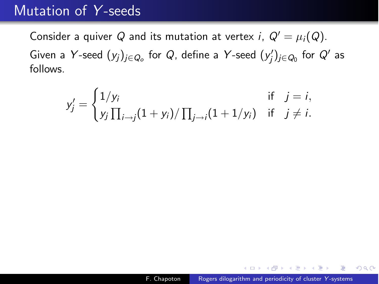#### Mutation of *Y* -seeds

Consider a quiver *Q* and its mutation at vertex *i*,  $Q' = \mu_i(Q)$ . Given a *Y* -seed (*yj*)*j*∈*Qo* for *Q*, define a *Y* -seed (*y*# *<sup>j</sup>*)*j*∈*Q*<sup>0</sup> for *Q*# as follows.

$$
y'_{j} = \begin{cases} 1/y_{i} & \text{if } j = i, \\ y_{j} \prod_{i \to j} (1 + y_{i}) / \prod_{j \to i} (1 + 1/y_{i}) & \text{if } j \neq i. \end{cases}
$$

AP ▶ ( ヨ ) ( ヨ )

 $QQ$ 

重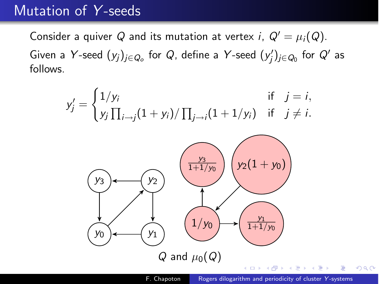#### Mutation of *Y* -seeds

Consider a quiver *Q* and its mutation at vertex *i*,  $Q' = \mu_i(Q)$ . Given a *Y* -seed (*yj*)*j*∈*Qo* for *Q*, define a *Y* -seed (*y*# *<sup>j</sup>*)*j*∈*Q*<sup>0</sup> for *Q*# as follows.

$$
y'_{j} = \begin{cases} 1/y_{i} & \text{if } j = i, \\ y_{j} \prod_{i \to j} (1 + y_{i}) / \prod_{j \to i} (1 + 1/y_{i}) & \text{if } j \neq i. \end{cases}
$$



 $QQ$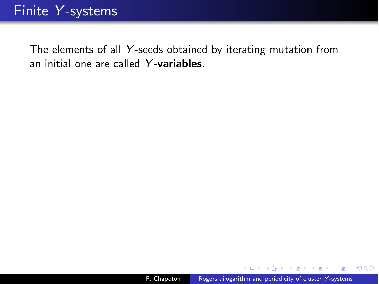The elements of all *Y* -seeds obtained by iterating mutation from an initial one are called *Y* -variables.

 $QQ$ 

э

- 4 重 8 3 4 重 8

 $\sim$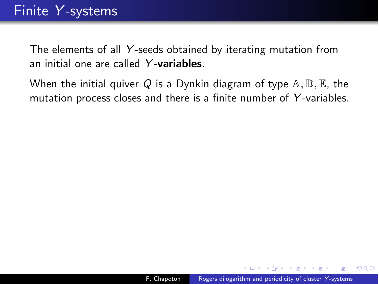The elements of all *Y* -seeds obtained by iterating mutation from an initial one are called *Y* -variables.

When the initial quiver Q is a Dynkin diagram of type  $A, D, E$ , the mutation process closes and there is a finite number of *Y* -variables.

- 4 重 8 3 4 重 8

 $\Omega$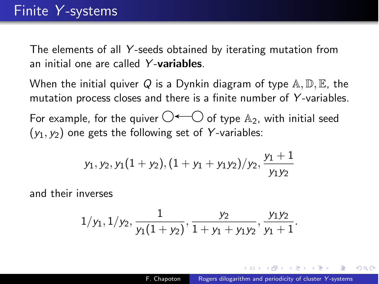The elements of all *Y* -seeds obtained by iterating mutation from an initial one are called *Y* -variables.

When the initial quiver Q is a Dynkin diagram of type  $A, D, E$ , the mutation process closes and there is a finite number of *Y* -variables.

For example, for the quiver  $\bigcirc$   $\leftarrow$   $\bigcirc$  of type  $\mathbb{A}_2$ , with initial seed  $(y_1, y_2)$  one gets the following set of Y-variables:

$$
y_1, y_2, y_1(1 + y_2), (1 + y_1 + y_1y_2)/y_2, \frac{y_1 + 1}{y_1y_2}
$$

and their inverses

$$
1/y_1, 1/y_2, \frac{1}{y_1(1+y_2)}, \frac{y_2}{1+y_1+y_1y_2}, \frac{y_1y_2}{y_1+1}.
$$

in a mark a mark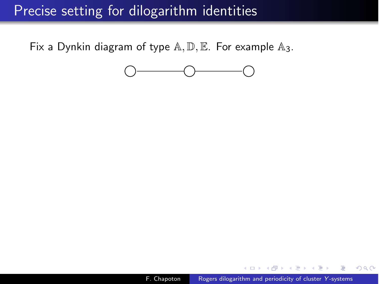# Precise setting for dilogarithm identities

Fix a Dynkin diagram of type  $A, D, E$ . For example  $A_3$ .



∢ 重 ≯

 $QQ$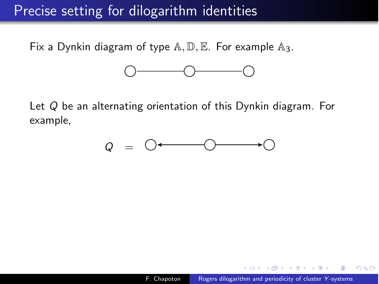# Precise setting for dilogarithm identities

Fix a Dynkin diagram of type  $A, D, E$ . For example  $A_3$ .



Let *Q* be an alternating orientation of this Dynkin diagram. For example,



 $2990$ 

- 4 重 8 - 4 重 8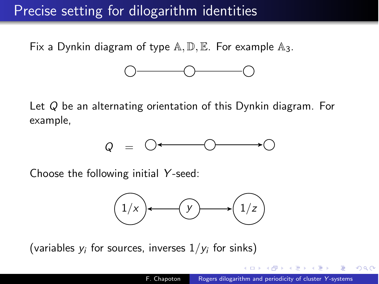# Precise setting for dilogarithm identities

Fix a Dynkin diagram of type  $A, D, E$ . For example  $A_3$ .



Let *Q* be an alternating orientation of this Dynkin diagram. For example,



Choose the following initial *Y* -seed:



(variables  $y_i$  for sources, inverses  $1/y_i$  for sinks)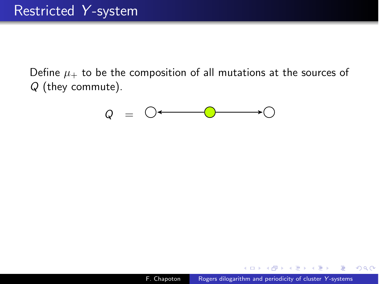Define  $\mu_+$  to be the composition of all mutations at the sources of *Q* (they commute).

$$
Q = \bigcirc \leftarrow \hspace{1.5cm} \bigcirc \hspace{1.5cm} \longrightarrow \hspace{1.5cm} \bigcirc
$$

化重变 化重

 $QQ$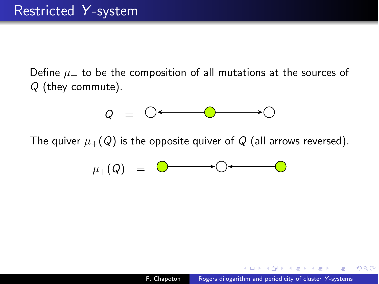Define  $\mu_+$  to be the composition of all mutations at the sources of *Q* (they commute).

$$
Q = \bigcirc \leftarrow \qquad \qquad \bigcirc \qquad \qquad \longrightarrow \bigcirc
$$

The quiver  $\mu_+(Q)$  is the opposite quiver of Q (all arrows reversed).

$$
\mu_+(\mathsf{Q}) = \circledcirc \longrightarrow \circledcirc \longleftarrow \circledcirc
$$

 $\Omega$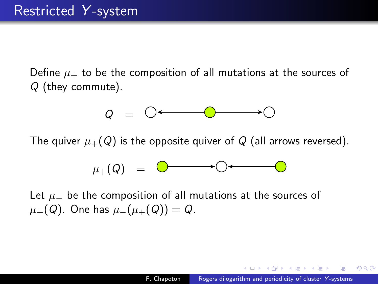Define  $\mu_+$  to be the composition of all mutations at the sources of *Q* (they commute).

$$
Q = \bigcirc \leftarrow \qquad \qquad \bigcirc \qquad \qquad \longrightarrow \bigcirc
$$

The quiver  $\mu_+(\mathcal{Q})$  is the opposite quiver of  $\mathcal Q$  (all arrows reversed).

$$
\mu_+(\mathsf{Q}) = \circledcirc \longrightarrow \circledcirc \longleftarrow \circledcirc
$$

Let  $\mu$  be the composition of all mutations at the sources of  $\mu_+(Q)$ . One has  $\mu_-(\mu_+(Q)) = Q$ .

医阿里氏阿里氏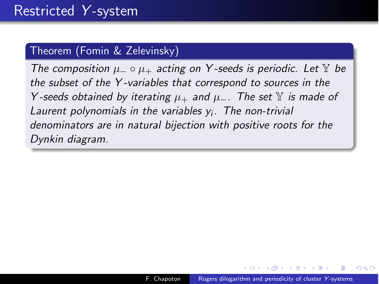#### Theorem (Fomin & Zelevinsky)

*The composition*  $\mu_-\circ\mu_+$  *acting on Y-seeds is periodic. Let* Y *be the subset of the Y -variables that correspond to sources in the Y* -seeds obtained by iterating  $\mu_+$  and  $\mu_-$ . The set  $\mathbb Y$  is made of *Laurent polynomials in the variables yi. The non-trivial denominators are in natural bijection with positive roots for the Dynkin diagram.*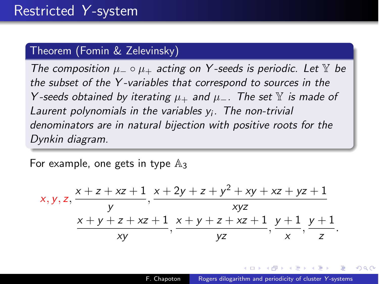#### Theorem (Fomin & Zelevinsky)

*The composition*  $\mu_-\circ\mu_+$  *acting on Y-seeds is periodic. Let* Y *be the subset of the Y -variables that correspond to sources in the Y* -seeds obtained by iterating  $\mu_+$  and  $\mu_-$ . The set  $\mathbb Y$  is made of *Laurent polynomials in the variables yi. The non-trivial denominators are in natural bijection with positive roots for the Dynkin diagram.*

For example, one gets in type  $\mathbb{A}_3$ 

$$
x, y, z, \frac{x + z + xz + 1}{y}, \frac{x + 2y + z + y^2 + xy + xz + yz + 1}{xyz}
$$
  

$$
\frac{x + y + z + xz + 1}{xy}, \frac{x + y + z + xz + 1}{yz}, \frac{y + 1}{x}, \frac{y + 1}{z}.
$$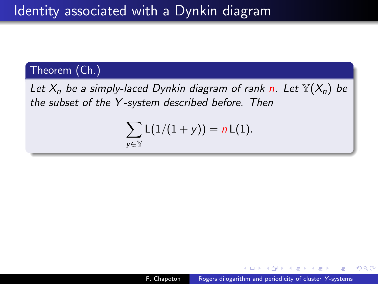#### Theorem (Ch.)

*Let*  $X_n$  *be a simply-laced Dynkin diagram of rank n. Let*  $\mathbb{Y}(X_n)$  *be the subset of the Y -system described before. Then*

$$
\sum_{y\in\mathbb{Y}}L(1/(1+y))=nL(1).
$$

- イ 三 ト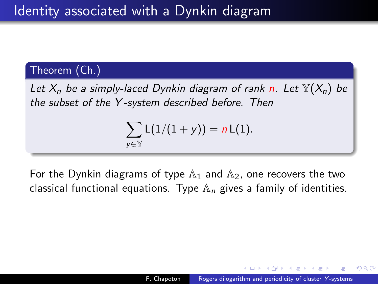#### Theorem (Ch.)

*Let X<sup>n</sup> be a simply-laced Dynkin diagram of rank n. Let* Y(*Xn*) *be the subset of the Y -system described before. Then*

$$
\sum_{y\in\mathbb{Y}}L(1/(1+y))=nL(1).
$$

For the Dynkin diagrams of type  $\mathbb{A}_1$  and  $\mathbb{A}_2$ , one recovers the two classical functional equations. Type A*<sup>n</sup>* gives a family of identities.

つくへ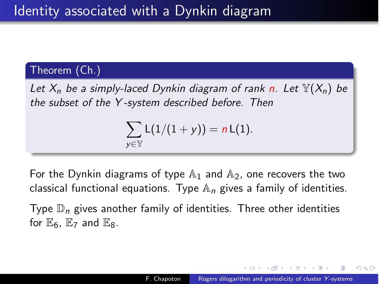#### Theorem (Ch.)

*Let X<sup>n</sup> be a simply-laced Dynkin diagram of rank n. Let* Y(*Xn*) *be the subset of the Y -system described before. Then*

$$
\sum_{y\in\mathbb{Y}}L(1/(1+y))=nL(1).
$$

For the Dynkin diagrams of type  $\mathbb{A}_1$  and  $\mathbb{A}_2$ , one recovers the two classical functional equations. Type A*<sup>n</sup>* gives a family of identities.

Type D*<sup>n</sup>* gives another family of identities. Three other identities for  $\mathbb{E}_6$ .  $\mathbb{E}_7$  and  $\mathbb{E}_8$ .

A . . 2 .

つくへ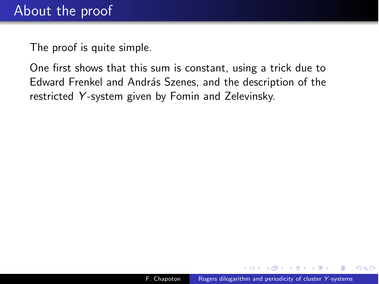The proof is quite simple.

One first shows that this sum is constant, using a trick due to Edward Frenkel and András Szenes, and the description of the restricted *Y* -system given by Fomin and Zelevinsky.

 $x = x$ 

 $\Omega$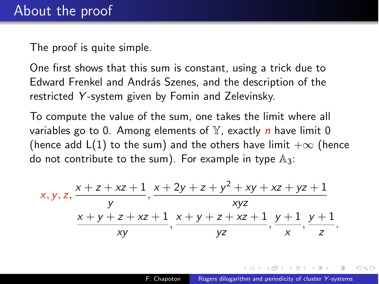The proof is quite simple.

One first shows that this sum is constant, using a trick due to Edward Frenkel and András Szenes, and the description of the restricted *Y* -system given by Fomin and Zelevinsky.

To compute the value of the sum, one takes the limit where all variables go to 0. Among elements of Y, exactly *n* have limit 0 (hence add L(1) to the sum) and the others have limit  $+\infty$  (hence do not contribute to the sum). For example in type  $\mathbb{A}_3$ :

$$
x, y, z, \frac{x + z + xz + 1}{y}, \frac{x + 2y + z + y^2 + xy + xz + yz + 1}{xyz}
$$
  

$$
\frac{x + y + z + xz + 1}{xy}, \frac{x + y + z + xz + 1}{yz}, \frac{y + 1}{x}, \frac{y + 1}{z}.
$$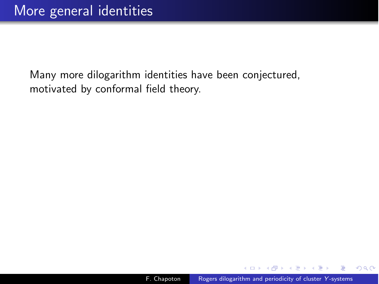化重变 化重

 $QQ$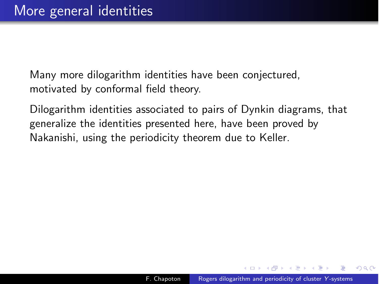Dilogarithm identities associated to pairs of Dynkin diagrams, that generalize the identities presented here, have been proved by Nakanishi, using the periodicity theorem due to Keller.

つくへ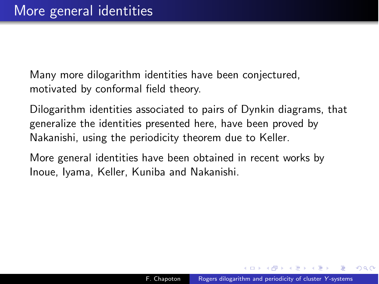Dilogarithm identities associated to pairs of Dynkin diagrams, that generalize the identities presented here, have been proved by Nakanishi, using the periodicity theorem due to Keller.

More general identities have been obtained in recent works by Inoue, Iyama, Keller, Kuniba and Nakanishi.

A . . 2 . . 2 .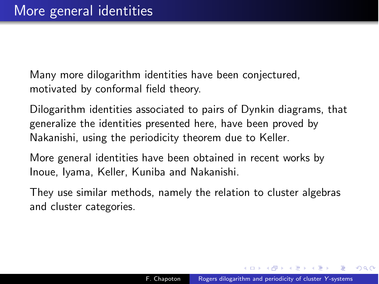Dilogarithm identities associated to pairs of Dynkin diagrams, that generalize the identities presented here, have been proved by Nakanishi, using the periodicity theorem due to Keller.

More general identities have been obtained in recent works by Inoue, Iyama, Keller, Kuniba and Nakanishi.

They use similar methods, namely the relation to cluster algebras and cluster categories.

<span id="page-57-0"></span>**何 ) ( 三 )** ( 三 )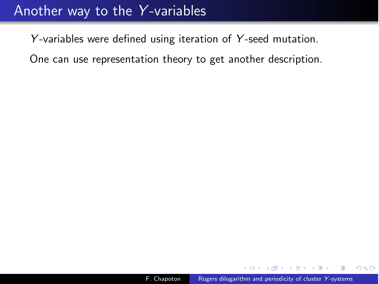#### Another way to the *Y* -variables

*Y* -variables were defined using iteration of *Y* -seed mutation.

One can use representation theory to get another description.

モミチ

<span id="page-58-0"></span> $2Q$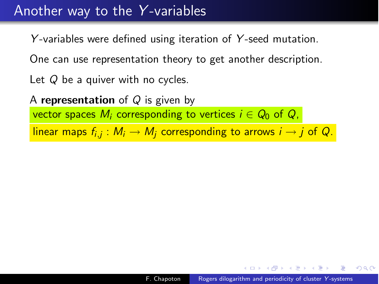#### Another way to the *Y* -variables

*Y* -variables were defined using iteration of *Y* -seed mutation.

One can use representation theory to get another description.

Let *Q* be a quiver with no cycles.

A representation of *Q* is given by vector spaces  $M_i$  corresponding to vertices  $i \in Q_0$  of  $Q_i$ ,

linear maps  $f_{i,j}: M_i \to M_i$  corresponding to arrows  $i \to j$  of Q.

<span id="page-59-0"></span> $\Omega$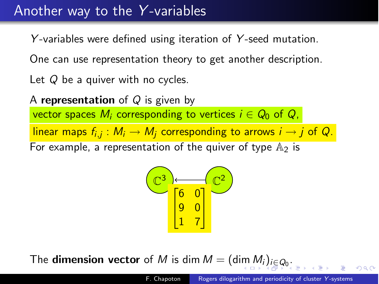## Another way to the *Y* -variables

*Y* -variables were defined using iteration of *Y* -seed mutation.

One can use representation theory to get another description.

Let *Q* be a quiver with no cycles.

A representation of *Q* is given by vector spaces  $M_i$  corresponding to vertices  $i \in Q_0$  of  $Q_i$ , linear maps  $f_{i,j}: M_i \to M_j$  corresponding to arrows  $i \to j$  of Q. For example, a representation of the quiver of type  $A_2$  is

<span id="page-60-0"></span>

The **di[m](#page-59-0)ension vector** of *[M](#page-61-0)* is dim  $M = (\dim M_i)_{i \in Q_0}$  $M = (\dim M_i)_{i \in Q_0}$  $M = (\dim M_i)_{i \in Q_0}$  $M = (\dim M_i)_{i \in Q_0}$  $M = (\dim M_i)_{i \in Q_0}$  $M = (\dim M_i)_{i \in Q_0}$  $M = (\dim M_i)_{i \in Q_0}$ [.](#page-0-0)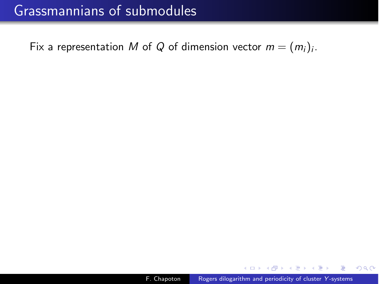# Grassmannians of submodules

Fix a representation *M* of *Q* of dimension vector  $m = (m_i)_i$ .

<span id="page-61-0"></span> $299$ 

化重复 化重变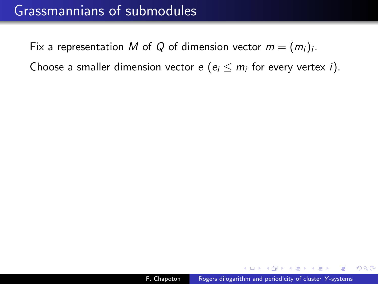# Grassmannians of submodules

Fix a representation *M* of *Q* of dimension vector  $m = (m_i)_i$ .

Choose a smaller dimension vector  $e$  ( $e_i \le m_i$  for every vertex *i*).

 $QQ$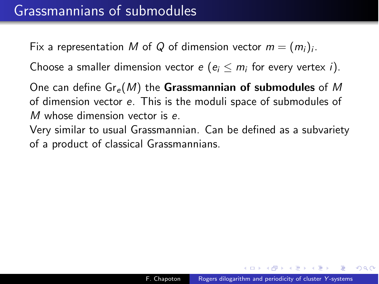Fix a representation M of Q of dimension vector  $m = (m_i)_i$ .

Choose a smaller dimension vector  $e$  ( $e_i \le m_i$  for every vertex *i*).

One can define Gr*<sup>e</sup>* (*M*) the Grassmannian of submodules of *M* of dimension vector *e*. This is the moduli space of submodules of *M* whose dimension vector is *e*.

Very similar to usual Grassmannian. Can be defined as a subvariety of a product of classical Grassmannians.

つくい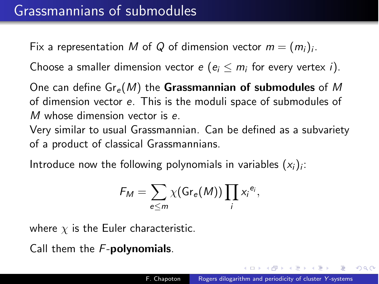Fix a representation M of Q of dimension vector  $m = (m_i)_i$ .

Choose a smaller dimension vector  $e$  ( $e_i \le m_i$  for every vertex *i*).

One can define Gr*<sup>e</sup>* (*M*) the Grassmannian of submodules of *M* of dimension vector *e*. This is the moduli space of submodules of *M* whose dimension vector is *e*.

Very similar to usual Grassmannian. Can be defined as a subvariety of a product of classical Grassmannians.

Introduce now the following polynomials in variables  $(x_i)_i$ :

$$
F_M = \sum_{e \leq m} \chi(\text{Gr}_e(M)) \prod_i x_i^{e_i},
$$

where  $\chi$  is the Euler characteristic.

Call them the *F*-polynomials.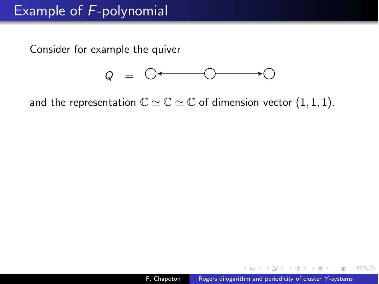Consider for example the quiver



and the representation  $\mathbb{C} \simeq \mathbb{C} \simeq \mathbb{C}$  of dimension vector  $(1, 1, 1)$ .

∢ 重 ≯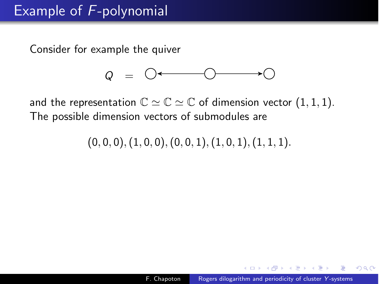Consider for example the quiver



and the representation  $\mathbb{C} \simeq \mathbb{C} \simeq \mathbb{C}$  of dimension vector  $(1, 1, 1)$ . The possible dimension vectors of submodules are

 $(0, 0, 0), (1, 0, 0), (0, 0, 1), (1, 0, 1), (1, 1, 1).$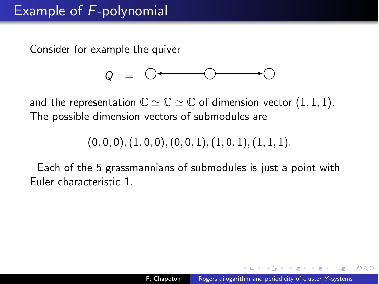Consider for example the quiver



and the representation  $\mathbb{C} \simeq \mathbb{C} \simeq \mathbb{C}$  of dimension vector  $(1, 1, 1)$ . The possible dimension vectors of submodules are

 $(0, 0, 0), (1, 0, 0), (0, 0, 1), (1, 0, 1), (1, 1, 1).$ 

Each of the 5 grassmannians of submodules is just a point with Euler characteristic 1.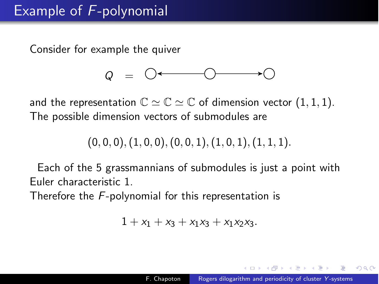Consider for example the quiver



and the representation  $\mathbb{C} \simeq \mathbb{C} \simeq \mathbb{C}$  of dimension vector  $(1, 1, 1)$ . The possible dimension vectors of submodules are

$$
(0,0,0), (1,0,0), (0,0,1), (1,0,1), (1,1,1).
$$

Each of the 5 grassmannians of submodules is just a point with Euler characteristic 1.

Therefore the *F*-polynomial for this representation is

$$
1 + x_1 + x_3 + x_1x_3 + x_1x_2x_3.
$$

つくい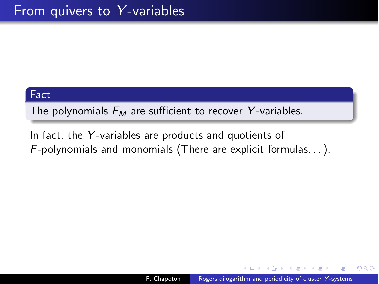#### Fact

The polynomials *F<sup>M</sup>* are sufficient to recover *Y* -variables.

In fact, the *Y* -variables are products and quotients of *F*-polynomials and monomials (There are explicit formulas. . . ).

人名英格兰人姓氏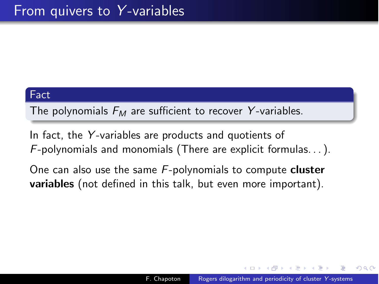#### Fact

The polynomials *F<sup>M</sup>* are sufficient to recover *Y* -variables.

In fact, the *Y* -variables are products and quotients of *F*-polynomials and monomials (There are explicit formulas. . . ).

One can also use the same *F*-polynomials to compute cluster variables (not defined in this talk, but even more important).

つくい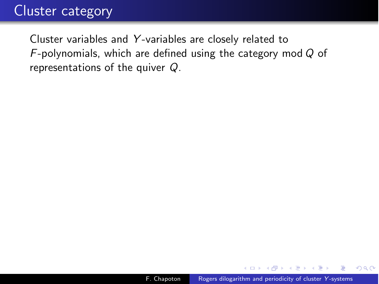# Cluster category

Cluster variables and *Y* -variables are closely related to *F*-polynomials, which are defined using the category mod *Q* of representations of the quiver *Q*.

∢ 重 ≯

 $QQ$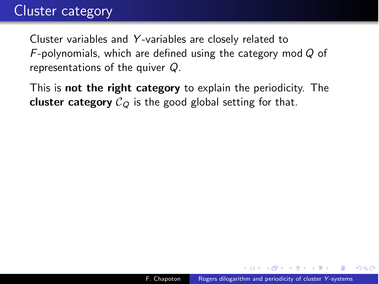# Cluster category

Cluster variables and *Y* -variables are closely related to *F*-polynomials, which are defined using the category mod *Q* of representations of the quiver *Q*.

This is **not the right category** to explain the periodicity. The **cluster category**  $C_Q$  is the good global setting for that.

in a mark a mark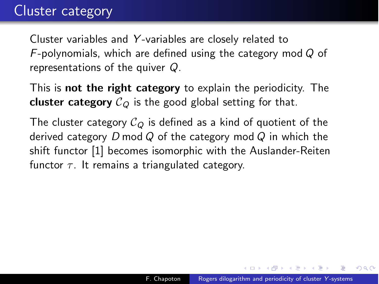Cluster variables and *Y* -variables are closely related to *F*-polynomials, which are defined using the category mod *Q* of representations of the quiver *Q*.

This is **not the right category** to explain the periodicity. The **cluster category**  $C_{\Omega}$  is the good global setting for that.

The cluster category  $C_Q$  is defined as a kind of quotient of the derived category *D* mod *Q* of the category mod *Q* in which the shift functor [1] becomes isomorphic with the Auslander-Reiten functor  $\tau$ . It remains a triangulated category.

(印) イヨン イヨン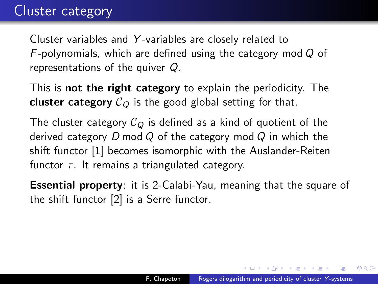Cluster variables and *Y* -variables are closely related to *F*-polynomials, which are defined using the category mod *Q* of representations of the quiver *Q*.

This is not the right category to explain the periodicity. The **cluster category**  $C_{\Omega}$  is the good global setting for that.

The cluster category  $C_Q$  is defined as a kind of quotient of the derived category *D* mod *Q* of the category mod *Q* in which the shift functor [1] becomes isomorphic with the Auslander-Reiten functor  $\tau$ . It remains a triangulated category.

Essential property: it is 2-Calabi-Yau, meaning that the square of the shift functor [2] is a Serre functor.

∢ 何 ▶ (す 手 ) (す 手 ) (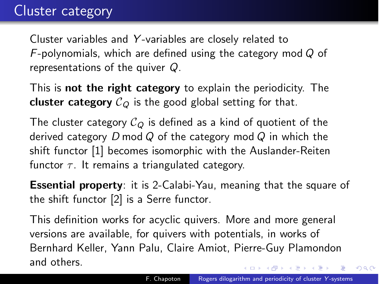Cluster variables and *Y* -variables are closely related to *F*-polynomials, which are defined using the category mod *Q* of representations of the quiver *Q*.

This is **not the right category** to explain the periodicity. The **cluster category**  $C_Q$  is the good global setting for that.

The cluster category  $C_Q$  is defined as a kind of quotient of the derived category *D* mod *Q* of the category mod *Q* in which the shift functor [1] becomes isomorphic with the Auslander-Reiten functor  $\tau$ . It remains a triangulated category.

Essential property: it is 2-Calabi-Yau, meaning that the square of the shift functor [2] is a Serre functor.

This definition works for acyclic quivers. More and more general versions are available, for quivers with potentials, in works of Bernhard Keller, Yann Palu, Claire Amiot, Pierre-Guy Plamondon and others. ◆ロ→ →何→ → ヨ→ →ヨ→ → ヨ

 $2990$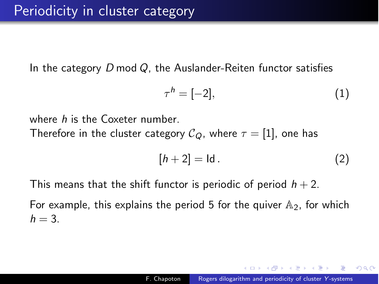In the category *D* mod *Q*, the Auslander-Reiten functor satisfies

$$
\tau^h = [-2],\tag{1}
$$

where *h* is the Coxeter number.

Therefore in the cluster category  $C_Q$ , where  $\tau = [1]$ , one has

$$
[h+2] = \text{Id}. \tag{2}
$$

This means that the shift functor is periodic of period  $h + 2$ .

For example, this explains the period 5 for the quiver  $A_2$ , for which  $h = 3$ .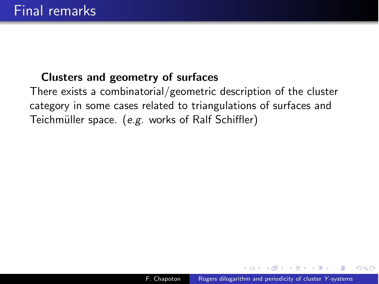### Clusters and geometry of surfaces

There exists a combinatorial/geometric description of the cluster category in some cases related to triangulations of surfaces and Teichmüller space. (e.g. works of Ralf Schiffler)

- 4 国家 3 国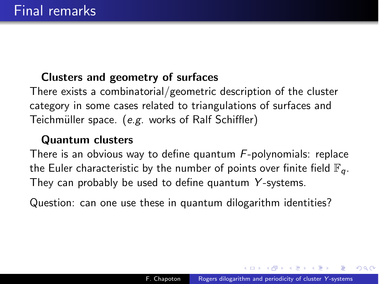## Clusters and geometry of surfaces

There exists a combinatorial/geometric description of the cluster category in some cases related to triangulations of surfaces and Teichmüller space. (*e.g.* works of Ralf Schiffler)

#### Quantum clusters

There is an obvious way to define quantum *F*-polynomials: replace the Euler characteristic by the number of points over finite field  $\mathbb{F}_q$ . They can probably be used to define quantum *Y* -systems.

Question: can one use these in quantum dilogarithm identities?

A . . 2 . . 2 .

 $200$